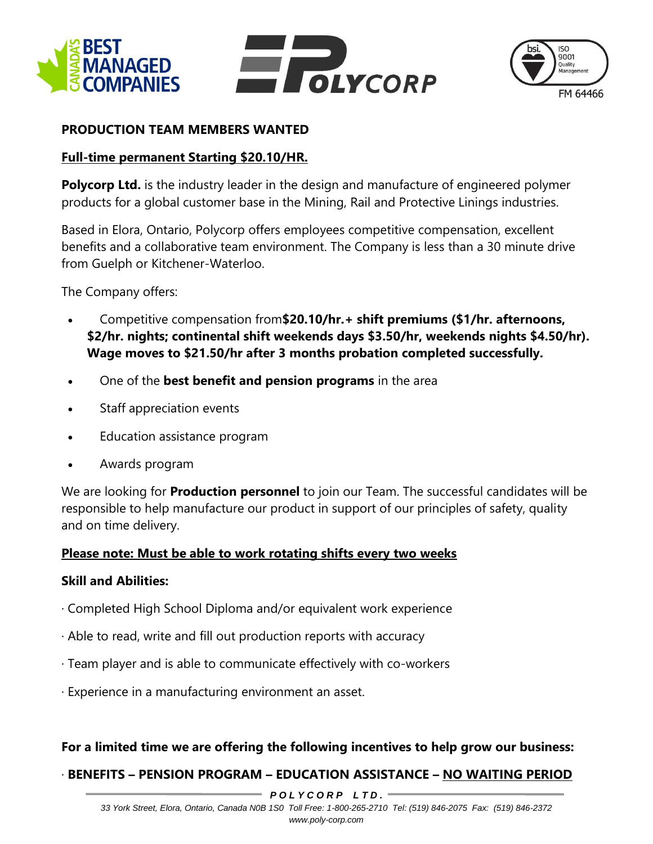





## **PRODUCTION TEAM MEMBERS WANTED**

## **Full-time permanent Starting \$20.10/HR.**

**Polycorp Ltd.** is the industry leader in the design and manufacture of engineered polymer products for a global customer base in the Mining, Rail and Protective Linings industries.

Based in Elora, Ontario, Polycorp offers employees competitive compensation, excellent benefits and a collaborative team environment. The Company is less than a 30 minute drive from Guelph or Kitchener-Waterloo.

The Company offers:

- Competitive compensation from**\$20.10/hr.+ shift premiums (\$1/hr. afternoons, \$2/hr. nights; continental shift weekends days \$3.50/hr, weekends nights \$4.50/hr). Wage moves to \$21.50/hr after 3 months probation completed successfully.**
- One of the **best benefit and pension programs** in the area
- Staff appreciation events
- Education assistance program
- Awards program

We are looking for **Production personnel** to join our Team. The successful candidates will be responsible to help manufacture our product in support of our principles of safety, quality and on time delivery.

#### **Please note: Must be able to work rotating shifts every two weeks**

#### **Skill and Abilities:**

- · Completed High School Diploma and/or equivalent work experience
- · Able to read, write and fill out production reports with accuracy
- · Team player and is able to communicate effectively with co-workers
- · Experience in a manufacturing environment an asset.

#### **For a limited time we are offering the following incentives to help grow our business:**

# · **BENEFITS – PENSION PROGRAM – EDUCATION ASSISTANCE – NO WAITING PERIOD**

*P O L Y C O R P L T D .*